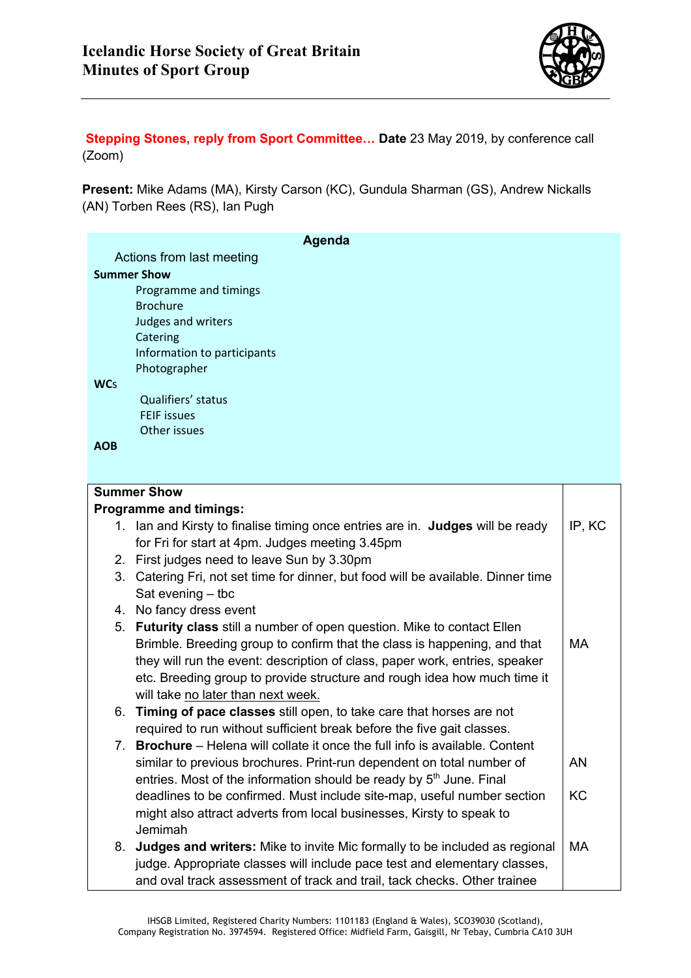

**Stepping Stones, reply from Sport Committee… Date** 23 May 2019, by conference call (Zoom)

**Present:** Mike Adams (MA), Kirsty Carson (KC), Gundula Sharman (GS), Andrew Nickalls (AN) Torben Rees (RS), Ian Pugh

| Agenda                    |                                                                                   |           |  |
|---------------------------|-----------------------------------------------------------------------------------|-----------|--|
| Actions from last meeting |                                                                                   |           |  |
| <b>Summer Show</b>        |                                                                                   |           |  |
|                           | Programme and timings                                                             |           |  |
|                           | <b>Brochure</b>                                                                   |           |  |
|                           | Judges and writers                                                                |           |  |
|                           | Catering                                                                          |           |  |
|                           | Information to participants                                                       |           |  |
|                           | Photographer                                                                      |           |  |
| <b>WCs</b>                | Qualifiers' status                                                                |           |  |
|                           | <b>FEIF issues</b>                                                                |           |  |
|                           | Other issues                                                                      |           |  |
| <b>AOB</b>                |                                                                                   |           |  |
|                           |                                                                                   |           |  |
|                           |                                                                                   |           |  |
|                           | <b>Summer Show</b>                                                                |           |  |
|                           | <b>Programme and timings:</b>                                                     |           |  |
|                           | 1. Ian and Kirsty to finalise timing once entries are in. Judges will be ready    | IP, KC    |  |
|                           | for Fri for start at 4pm. Judges meeting 3.45pm                                   |           |  |
|                           | 2. First judges need to leave Sun by 3.30pm                                       |           |  |
|                           | 3. Catering Fri, not set time for dinner, but food will be available. Dinner time |           |  |
|                           | Sat evening $-$ tbc                                                               |           |  |
|                           | 4. No fancy dress event                                                           |           |  |
| 5.                        | <b>Futurity class</b> still a number of open question. Mike to contact Ellen      |           |  |
|                           | Brimble. Breeding group to confirm that the class is happening, and that          | <b>MA</b> |  |
|                           | they will run the event: description of class, paper work, entries, speaker       |           |  |
|                           | etc. Breeding group to provide structure and rough idea how much time it          |           |  |
|                           | will take no later than next week.                                                |           |  |
|                           | 6. Timing of pace classes still open, to take care that horses are not            |           |  |
|                           | required to run without sufficient break before the five gait classes.            |           |  |
| $\sqrt{2}$                | <b>Brochure</b> – Helena will collate it once the full info is available. Content |           |  |
|                           | similar to previous brochures. Print-run dependent on total number of             | AN        |  |
|                           | entries. Most of the information should be ready by 5 <sup>th</sup> June. Final   |           |  |
|                           | deadlines to be confirmed. Must include site-map, useful number section           | KC        |  |
|                           | might also attract adverts from local businesses, Kirsty to speak to              |           |  |
|                           | Jemimah                                                                           |           |  |
|                           | 8. Judges and writers: Mike to invite Mic formally to be included as regional     | MA        |  |
|                           | judge. Appropriate classes will include pace test and elementary classes,         |           |  |
|                           | and oval track assessment of track and trail, tack checks. Other trainee          |           |  |